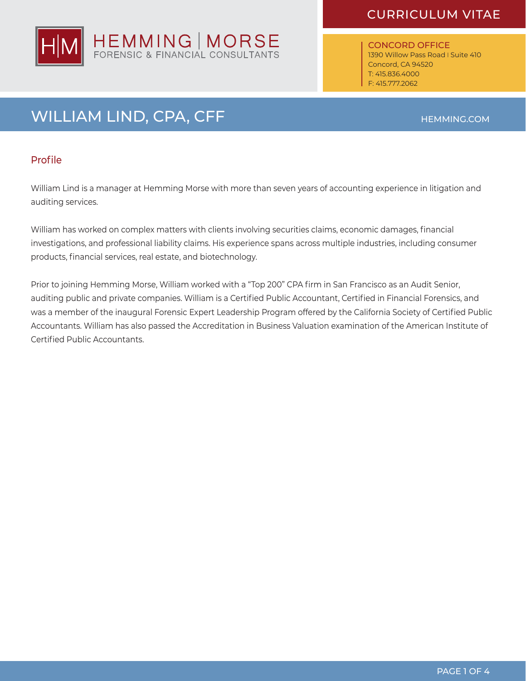

CONCORD OFFICE 1390 Willow Pass Road I Suite 410 Concord, CA 94520 T: 415.836.4000 F: 415.777.2062

# WILLIAM LIND, CPA, CFF **HEMMING.COM**

#### Profile

William Lind is a manager at Hemming Morse with more than seven years of accounting experience in litigation and auditing services.

William has worked on complex matters with clients involving securities claims, economic damages, financial investigations, and professional liability claims. His experience spans across multiple industries, including consumer products, financial services, real estate, and biotechnology.

Prior to joining Hemming Morse, William worked with a "Top 200" CPA firm in San Francisco as an Audit Senior, auditing public and private companies. William is a Certified Public Accountant, Certified in Financial Forensics, and was a member of the inaugural Forensic Expert Leadership Program offered by the California Society of Certified Public Accountants. William has also passed the Accreditation in Business Valuation examination of the American Institute of Certified Public Accountants.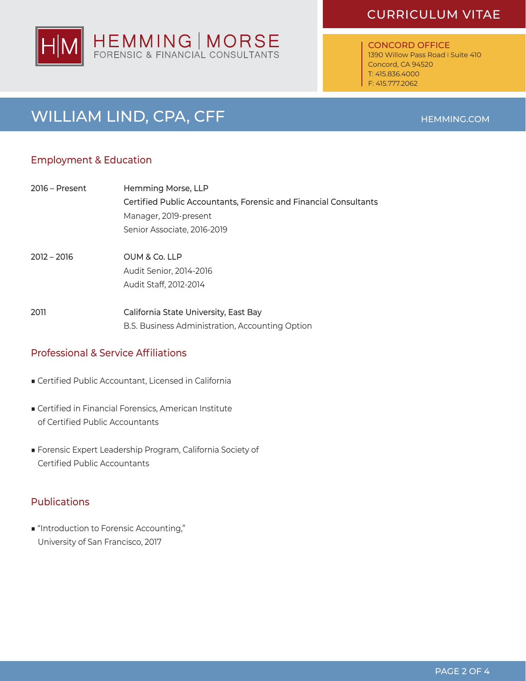

CONCORD OFFICE 1390 Willow Pass Road I Suite 410 Concord, CA 94520 T: 415.836.4000 F: 415.777.2062

# WILLIAM LIND, CPA, CFF **HEMMING.COM**

### Employment & Education

| 2016 – Present | Hemming Morse, LLP                                               |
|----------------|------------------------------------------------------------------|
|                | Certified Public Accountants, Forensic and Financial Consultants |
|                | Manager, 2019-present                                            |
|                | Senior Associate, 2016-2019                                      |
| $2012 - 2016$  | OUM & Co. LLP                                                    |
|                | Audit Senior, 2014-2016                                          |
|                | Audit Staff, 2012-2014                                           |
| 2011           | California State University, East Bay                            |
|                | B.S. Business Administration, Accounting Option                  |

### **Professional & Service Affiliations**

- Certified Public Accountant, Licensed in California
- Certified in Financial Forensics, American Institute of Certified Public Accountants
- Forensic Expert Leadership Program, California Society of Certified Public Accountants

### **Publications**

■ "Introduction to Forensic Accounting," University of San Francisco, 2017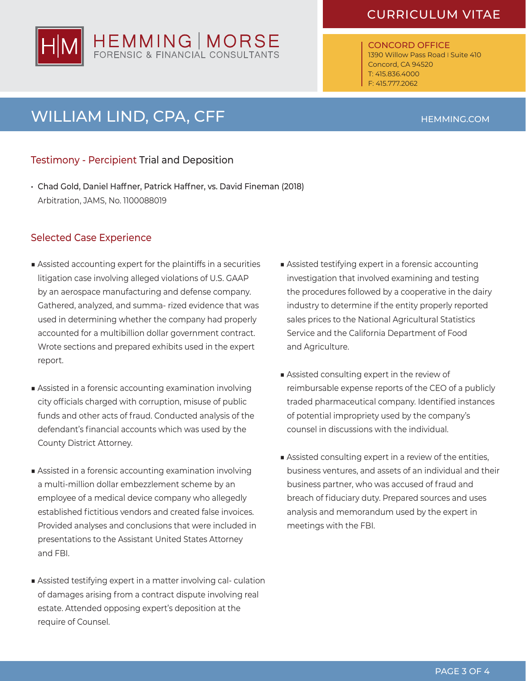

CONCORD OFFICE 1390 Willow Pass Road I Suite 410 Concord, CA 94520 T: 415.836.4000 F: 415.777.2062

# WILLIAM LIND, CPA, CFF **HEMMING.COM**

### Testimony - Percipient Trial and Deposition

• Chad Gold, Daniel Haffner, Patrick Haffner, vs. David Fineman (2018) Arbitration, JAMS, No. 1100088019

### Selected Case Experience

- Assisted accounting expert for the plaintiffs in a securities litigation case involving alleged violations of U.S. GAAP by an aerospace manufacturing and defense company. Gathered, analyzed, and summa- rized evidence that was used in determining whether the company had properly accounted for a multibillion dollar government contract. Wrote sections and prepared exhibits used in the expert report.
- Assisted in a forensic accounting examination involving city officials charged with corruption, misuse of public funds and other acts of fraud. Conducted analysis of the defendant's financial accounts which was used by the County District Attorney.
- Assisted in a forensic accounting examination involving a multi-million dollar embezzlement scheme by an employee of a medical device company who allegedly established fictitious vendors and created false invoices. Provided analyses and conclusions that were included in presentations to the Assistant United States Attorney and FBI.
- Assisted testifying expert in a matter involving cal- culation of damages arising from a contract dispute involving real estate. Attended opposing expert's deposition at the require of Counsel.
- Assisted testifying expert in a forensic accounting investigation that involved examining and testing the procedures followed by a cooperative in the dairy industry to determine if the entity properly reported sales prices to the National Agricultural Statistics Service and the California Department of Food and Agriculture.
- Assisted consulting expert in the review of reimbursable expense reports of the CEO of a publicly traded pharmaceutical company. Identified instances of potential impropriety used by the company's counsel in discussions with the individual.
- Assisted consulting expert in a review of the entities, business ventures, and assets of an individual and their business partner, who was accused of fraud and breach of fiduciary duty. Prepared sources and uses analysis and memorandum used by the expert in meetings with the FBI.

PAGE 3 OF 4